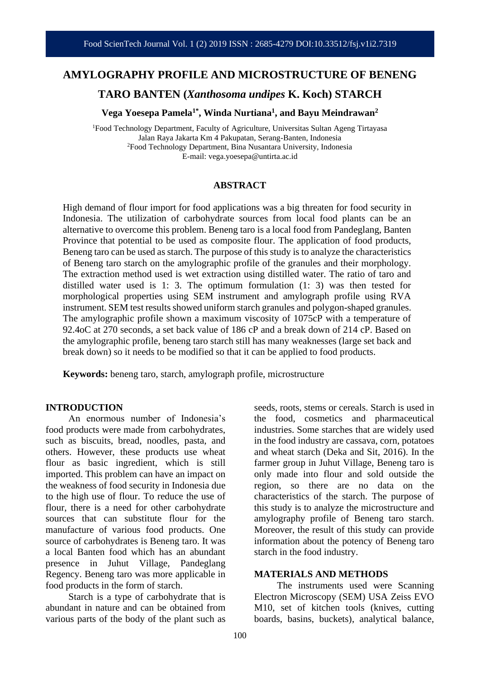## **AMYLOGRAPHY PROFILE AND MICROSTRUCTURE OF BENENG**

**TARO BANTEN (***Xanthosoma undipes* **K. Koch) STARCH**

**Vega Yoesepa Pamela1\* , Winda Nurtiana<sup>1</sup> , and Bayu Meindrawan<sup>2</sup>**

<sup>1</sup>Food Technology Department, Faculty of Agriculture, Universitas Sultan Ageng Tirtayasa Jalan Raya Jakarta Km 4 Pakupatan, Serang-Banten, Indonesia <sup>2</sup>Food Technology Department, Bina Nusantara University, Indonesia E-mail: vega.yoesepa@untirta.ac.id

#### **ABSTRACT**

High demand of flour import for food applications was a big threaten for food security in Indonesia. The utilization of carbohydrate sources from local food plants can be an alternative to overcome this problem. Beneng taro is a local food from Pandeglang, Banten Province that potential to be used as composite flour. The application of food products, Beneng taro can be used as starch. The purpose of this study is to analyze the characteristics of Beneng taro starch on the amylographic profile of the granules and their morphology. The extraction method used is wet extraction using distilled water. The ratio of taro and distilled water used is 1: 3. The optimum formulation (1: 3) was then tested for morphological properties using SEM instrument and amylograph profile using RVA instrument. SEM test results showed uniform starch granules and polygon-shaped granules. The amylographic profile shown a maximum viscosity of 1075cP with a temperature of 92.4oC at 270 seconds, a set back value of 186 cP and a break down of 214 cP. Based on the amylographic profile, beneng taro starch still has many weaknesses (large set back and break down) so it needs to be modified so that it can be applied to food products.

**Keywords:** beneng taro, starch, amylograph profile, microstructure

#### **INTRODUCTION**

An enormous number of Indonesia's food products were made from carbohydrates, such as biscuits, bread, noodles, pasta, and others. However, these products use wheat flour as basic ingredient, which is still imported. This problem can have an impact on the weakness of food security in Indonesia due to the high use of flour. To reduce the use of flour, there is a need for other carbohydrate sources that can substitute flour for the manufacture of various food products. One source of carbohydrates is Beneng taro. It was a local Banten food which has an abundant presence in Juhut Village, Pandeglang Regency. Beneng taro was more applicable in food products in the form of starch.

Starch is a type of carbohydrate that is abundant in nature and can be obtained from various parts of the body of the plant such as

seeds, roots, stems or cereals. Starch is used in the food, cosmetics and pharmaceutical industries. Some starches that are widely used in the food industry are cassava, corn, potatoes and wheat starch (Deka and Sit, 2016). In the farmer group in Juhut Village, Beneng taro is only made into flour and sold outside the region, so there are no data on the characteristics of the starch. The purpose of this study is to analyze the microstructure and amylography profile of Beneng taro starch. Moreover, the result of this study can provide information about the potency of Beneng taro starch in the food industry.

#### **MATERIALS AND METHODS**

The instruments used were Scanning Electron Microscopy (SEM) USA Zeiss EVO M10, set of kitchen tools (knives, cutting boards, basins, buckets), analytical balance,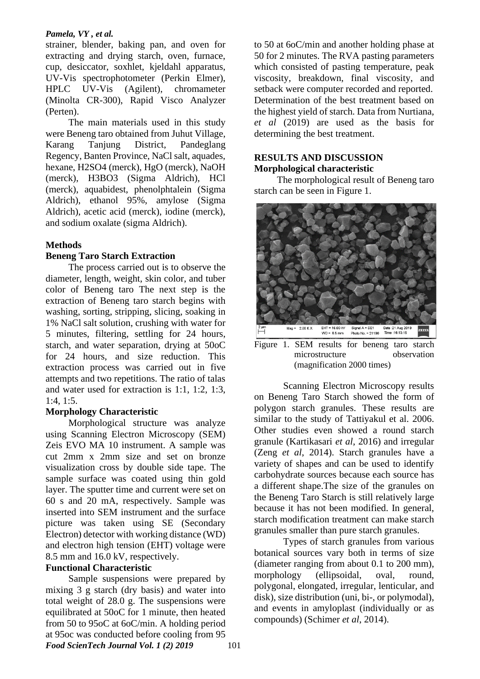## *Pamela, VY , et al.*

strainer, blender, baking pan, and oven for extracting and drying starch, oven, furnace, cup, desiccator, soxhlet, kjeldahl apparatus, UV-Vis spectrophotometer (Perkin Elmer), HPLC UV-Vis (Agilent), chromameter (Minolta CR-300), Rapid Visco Analyzer (Perten).

The main materials used in this study were Beneng taro obtained from Juhut Village, Karang Tanjung District, Pandeglang Regency, Banten Province, NaCl salt, aquades, hexane, H2SO4 (merck), HgO (merck), NaOH (merck), H3BO3 (Sigma Aldrich), HCl (merck), aquabidest, phenolphtalein (Sigma Aldrich), ethanol 95%, amylose (Sigma Aldrich), acetic acid (merck), iodine (merck), and sodium oxalate (sigma Aldrich).

# **Methods**

## **Beneng Taro Starch Extraction**

The process carried out is to observe the diameter, length, weight, skin color, and tuber color of Beneng taro The next step is the extraction of Beneng taro starch begins with washing, sorting, stripping, slicing, soaking in 1% NaCl salt solution, crushing with water for 5 minutes, filtering, settling for 24 hours, starch, and water separation, drying at 50oC for 24 hours, and size reduction. This extraction process was carried out in five attempts and two repetitions. The ratio of talas and water used for extraction is 1:1, 1:2, 1:3, 1:4, 1:5.

# **Morphology Characteristic**

Morphological structure was analyze using Scanning Electron Microscopy (SEM) Zeis EVO MA 10 instrument. A sample was cut 2mm x 2mm size and set on bronze visualization cross by double side tape. The sample surface was coated using thin gold layer. The sputter time and current were set on 60 s and 20 mA, respectively. Sample was inserted into SEM instrument and the surface picture was taken using SE (Secondary Electron) detector with working distance (WD) and electron high tension (EHT) voltage were 8.5 mm and 16.0 kV, respectively.

## **Functional Characteristic**

*Food ScienTech Journal Vol. 1 (2) 2019* 101 Sample suspensions were prepared by mixing 3 g starch (dry basis) and water into total weight of 28.0 g. The suspensions were equilibrated at 50oC for 1 minute, then heated from 50 to 95oC at 6oC/min. A holding period at 95oc was conducted before cooling from 95

to 50 at 6oC/min and another holding phase at 50 for 2 minutes. The RVA pasting parameters which consisted of pasting temperature, peak viscosity, breakdown, final viscosity, and setback were computer recorded and reported. Determination of the best treatment based on the highest yield of starch. Data from Nurtiana, *et al* (2019) are used as the basis for determining the best treatment.

## **RESULTS AND DISCUSSION Morphological characteristic**

The morphological result of Beneng taro starch can be seen in Figure 1.



Figure 1. SEM results for beneng taro starch microstructure observation (magnification 2000 times)

Scanning Electron Microscopy results on Beneng Taro Starch showed the form of polygon starch granules. These results are similar to the study of Tattiyakul et al. 2006. Other studies even showed a round starch granule (Kartikasari *et al*, 2016) and irregular (Zeng *et al*, 2014). Starch granules have a variety of shapes and can be used to identify carbohydrate sources because each source has a different shape.The size of the granules on the Beneng Taro Starch is still relatively large because it has not been modified. In general, starch modification treatment can make starch granules smaller than pure starch granules.

Types of starch granules from various botanical sources vary both in terms of size (diameter ranging from about 0.1 to 200 mm), morphology (ellipsoidal, oval, round, polygonal, elongated, irregular, lenticular, and disk), size distribution (uni, bi-, or polymodal), and events in amyloplast (individually or as compounds) (Schimer *et al*, 2014).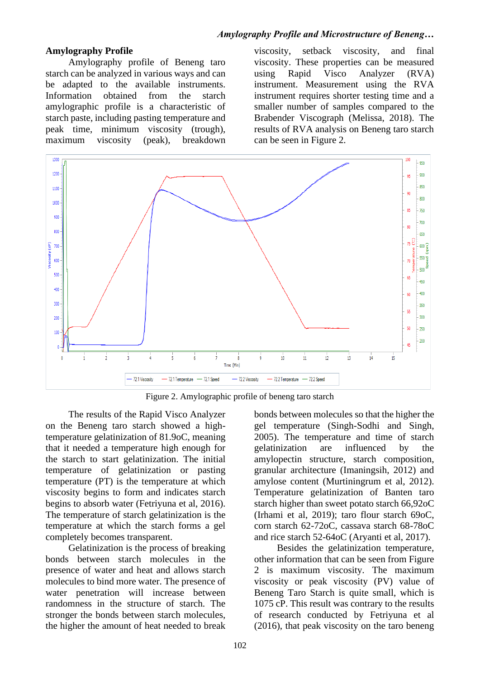## **Amylography Profile**

Amylography profile of Beneng taro starch can be analyzed in various ways and can be adapted to the available instruments. Information obtained from the starch amylographic profile is a characteristic of starch paste, including pasting temperature and peak time, minimum viscosity (trough), maximum viscosity (peak), breakdown

viscosity, setback viscosity, and final viscosity. These properties can be measured using Rapid Visco Analyzer (RVA) instrument. Measurement using the RVA instrument requires shorter testing time and a smaller number of samples compared to the Brabender Viscograph (Melissa, 2018). The results of RVA analysis on Beneng taro starch can be seen in Figure 2.



Figure 2. Amylographic profile of beneng taro starch

The results of the Rapid Visco Analyzer on the Beneng taro starch showed a hightemperature gelatinization of 81.9oC, meaning that it needed a temperature high enough for the starch to start gelatinization. The initial temperature of gelatinization or pasting temperature (PT) is the temperature at which viscosity begins to form and indicates starch begins to absorb water (Fetriyuna et al, 2016). The temperature of starch gelatinization is the temperature at which the starch forms a gel completely becomes transparent.

Gelatinization is the process of breaking bonds between starch molecules in the presence of water and heat and allows starch molecules to bind more water. The presence of water penetration will increase between randomness in the structure of starch. The stronger the bonds between starch molecules, the higher the amount of heat needed to break

bonds between molecules so that the higher the gel temperature (Singh-Sodhi and Singh, 2005). The temperature and time of starch gelatinization are influenced by the amylopectin structure, starch composition, granular architecture (Imaningsih, 2012) and amylose content (Murtiningrum et al, 2012). Temperature gelatinization of Banten taro starch higher than sweet potato starch 66,92oC (Irhami et al, 2019); taro flour starch 69oC, corn starch 62-72oC, cassava starch 68-78oC and rice starch 52-64oC (Aryanti et al, 2017).

Besides the gelatinization temperature, other information that can be seen from Figure 2 is maximum viscosity. The maximum viscosity or peak viscosity (PV) value of Beneng Taro Starch is quite small, which is 1075 cP. This result was contrary to the results of research conducted by Fetriyuna et al (2016), that peak viscosity on the taro beneng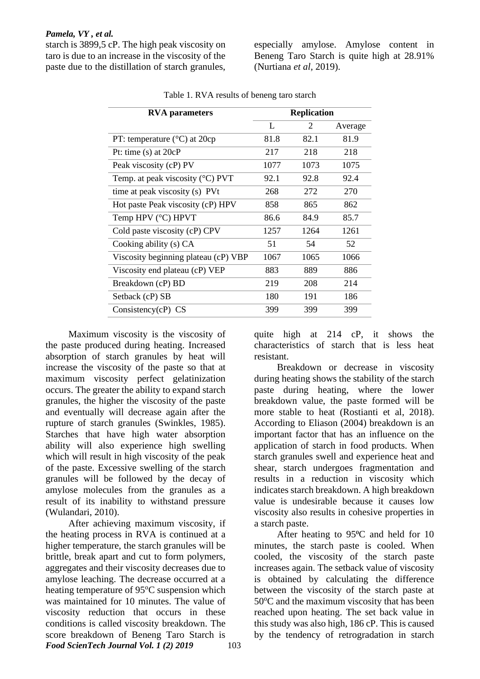### *Pamela, VY , et al.*

starch is 3899,5 cP. The high peak viscosity on taro is due to an increase in the viscosity of the paste due to the distillation of starch granules,

especially amylose. Amylose content in Beneng Taro Starch is quite high at 28.91% (Nurtiana *et al,* 2019).

| <b>RVA</b> parameters                     | <b>Replication</b> |      |         |
|-------------------------------------------|--------------------|------|---------|
|                                           | L                  | 2    | Average |
| PT: temperature $(^{\circ}C)$ at 20cp     | 81.8               | 82.1 | 81.9    |
| Pt: time $(s)$ at $20cP$                  | 217                | 218  | 218     |
| Peak viscosity (cP) PV                    | 1077               | 1073 | 1075    |
| Temp. at peak viscosity $(^{\circ}C)$ PVT | 92.1               | 92.8 | 92.4    |
| time at peak viscosity (s) PVt            | 268                | 272  | 270     |
| Hot paste Peak viscosity (cP) HPV         | 858                | 865  | 862     |
| Temp HPV (°C) HPVT                        | 86.6               | 84.9 | 85.7    |
| Cold paste viscosity (cP) CPV             | 1257               | 1264 | 1261    |
| Cooking ability (s) CA                    | 51                 | 54   | 52      |
| Viscosity beginning plateau (cP) VBP      | 1067               | 1065 | 1066    |
| Viscosity end plateau (cP) VEP            | 883                | 889  | 886     |
| Breakdown (cP) BD                         | 219                | 208  | 214     |
| Setback (cP) SB                           | 180                | 191  | 186     |
| Consistency $(cP)$ CS                     | 399                | 399  | 399     |

Table 1. RVA results of beneng taro starch

Maximum viscosity is the viscosity of the paste produced during heating. Increased absorption of starch granules by heat will increase the viscosity of the paste so that at maximum viscosity perfect gelatinization occurs. The greater the ability to expand starch granules, the higher the viscosity of the paste and eventually will decrease again after the rupture of starch granules (Swinkles, 1985). Starches that have high water absorption ability will also experience high swelling which will result in high viscosity of the peak of the paste. Excessive swelling of the starch granules will be followed by the decay of amylose molecules from the granules as a result of its inability to withstand pressure (Wulandari, 2010).

*Food ScienTech Journal Vol. 1 (2) 2019* 103 After achieving maximum viscosity, if the heating process in RVA is continued at a higher temperature, the starch granules will be brittle, break apart and cut to form polymers, aggregates and their viscosity decreases due to amylose leaching. The decrease occurred at a heating temperature of 95<sup>o</sup>C suspension which was maintained for 10 minutes. The value of viscosity reduction that occurs in these conditions is called viscosity breakdown. The score breakdown of Beneng Taro Starch is

quite high at 214 cP, it shows the characteristics of starch that is less heat resistant.

Breakdown or decrease in viscosity during heating shows the stability of the starch paste during heating, where the lower breakdown value, the paste formed will be more stable to heat (Rostianti et al, 2018). According to Eliason (2004) breakdown is an important factor that has an influence on the application of starch in food products. When starch granules swell and experience heat and shear, starch undergoes fragmentation and results in a reduction in viscosity which indicates starch breakdown. A high breakdown value is undesirable because it causes low viscosity also results in cohesive properties in a starch paste.

After heating to 95<sup>o</sup>C and held for 10 minutes, the starch paste is cooled. When cooled, the viscosity of the starch paste increases again. The setback value of viscosity is obtained by calculating the difference between the viscosity of the starch paste at  $50^{\circ}$ C and the maximum viscosity that has been reached upon heating. The set back value in this study was also high, 186 cP. This is caused by the tendency of retrogradation in starch